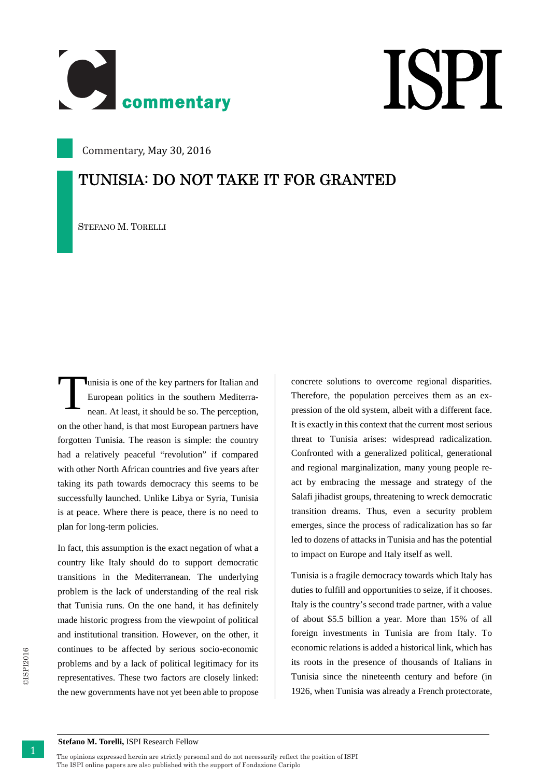



Commentary, May 30, 2016

## **TUNISIA: DO NOT TAKE IT FOR GRANTED**

STEFANO M. TORELLI

unisia is one of the key partners for Italian and European politics in the southern Mediterranean. At least, it should be so. The perception, on the other hand, is that most European partners have forgotten Tunisia. The reason is simple: the country had a relatively peaceful "revolution" if compared with other North African countries and five years after taking its path towards democracy this seems to be successfully launched. Unlike Libya or Syria, Tunisia is at peace. Where there is peace, there is no need to plan for long-term policies. T

In fact, this assumption is the exact negation of what a country like Italy should do to support democratic transitions in the Mediterranean. The underlying problem is the lack of understanding of the real risk that Tunisia runs. On the one hand, it has definitely made historic progress from the viewpoint of political and institutional transition. However, on the other, it continues to be affected by serious socio-economic problems and by a lack of political legitimacy for its representatives. These two factors are closely linked: the new governments have not yet been able to propose

concrete solutions to overcome regional disparities. Therefore, the population perceives them as an expression of the old system, albeit with a different face. It is exactly in this context that the current most serious threat to Tunisia arises: widespread radicalization. Confronted with a generalized political, generational and regional marginalization, many young people react by embracing the message and strategy of the Salafi jihadist groups, threatening to wreck democratic transition dreams. Thus, even a security problem emerges, since the process of radicalization has so far led to dozens of attacks in Tunisia and has the potential to impact on Europe and Italy itself as well.

Tunisia is a fragile democracy towards which Italy has duties to fulfill and opportunities to seize, if it chooses. Italy is the country's second trade partner, with a value of about \$5.5 billion a year. More than 15% of all foreign investments in Tunisia are from Italy. To economic relations is added a historical link, which has its roots in the presence of thousands of Italians in Tunisia since the nineteenth century and before (in 1926, when Tunisia was already a French protectorate,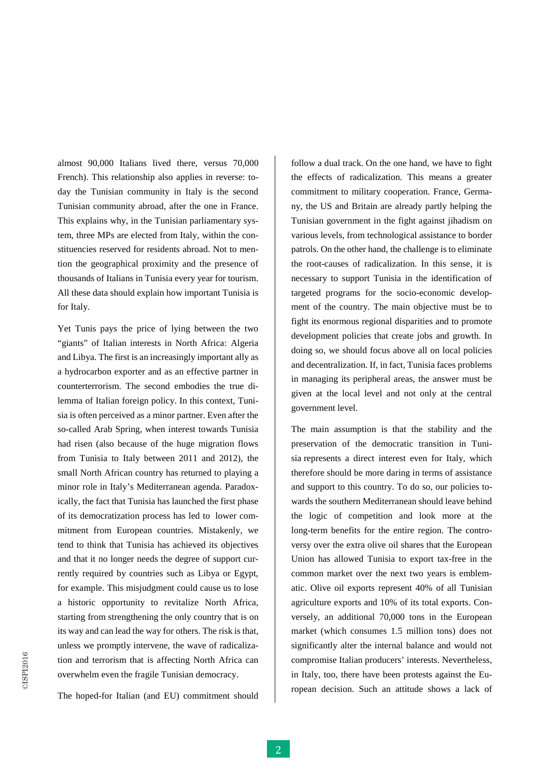almost 90,000 Italians lived there, versus 70,000 French). This relationship also applies in reverse: today the Tunisian community in Italy is the second Tunisian community abroad, after the one in France. This explains why, in the Tunisian parliamentary system, three MPs are elected from Italy, within the constituencies reserved for residents abroad. Not to mention the geographical proximity and the presence of thousands of Italians in Tunisia every year for tourism. All these data should explain how important Tunisia is for Italy.

tion and terrorism that is affecting North Africa can<br>overwhelm even the fragile Tunisian democracy.<br>The hoped-for Italian (and EU) commitment should<br>ropean d<br><br>2 Yet Tunis pays the price of lying between the two "giants" of Italian interests in North Africa: Algeria and Libya. The first is an increasingly important ally as a hydrocarbon exporter and as an effective partner in counterterrorism. The second embodies the true dilemma of Italian foreign policy. In this context, Tunisia is often perceived as a minor partner. Even after the so-called Arab Spring, when interest towards Tunisia had risen (also because of the huge migration flows from Tunisia to Italy between 2011 and 2012), the small North African country has returned to playing a minor role in Italy's Mediterranean agenda. Paradoxically, the fact that Tunisia has launched the first phase of its democratization process has led to lower commitment from European countries. Mistakenly, we tend to think that Tunisia has achieved its objectives and that it no longer needs the degree of support currently required by countries such as Libya or Egypt, for example. This misjudgment could cause us to lose a historic opportunity to revitalize North Africa, starting from strengthening the only country that is on its way and can lead the way for others. The risk is that, unless we promptly intervene, the wave of radicalization and terrorism that is affecting North Africa can overwhelm even the fragile Tunisian democracy.

The hoped-for Italian (and EU) commitment should

follow a dual track. On the one hand, we have to fight the effects of radicalization. This means a greater commitment to military cooperation. France, Germany, the US and Britain are already partly helping the Tunisian government in the fight against jihadism on various levels, from technological assistance to border patrols. On the other hand, the challenge is to eliminate the root-causes of radicalization. In this sense, it is necessary to support Tunisia in the identification of targeted programs for the socio-economic development of the country. The main objective must be to fight its enormous regional disparities and to promote development policies that create jobs and growth. In doing so, we should focus above all on local policies and decentralization. If, in fact, Tunisia faces problems in managing its peripheral areas, the answer must be given at the local level and not only at the central government level.

The main assumption is that the stability and the preservation of the democratic transition in Tunisia represents a direct interest even for Italy, which therefore should be more daring in terms of assistance and support to this country. To do so, our policies towards the southern Mediterranean should leave behind the logic of competition and look more at the long-term benefits for the entire region. The controversy over the extra olive oil shares that the European Union has allowed Tunisia to export tax-free in the common market over the next two years is emblematic. Olive oil exports represent 40% of all Tunisian agriculture exports and 10% of its total exports. Conversely, an additional 70,000 tons in the European market (which consumes 1.5 million tons) does not significantly alter the internal balance and would not compromise Italian producers' interests. Nevertheless, in Italy, too, there have been protests against the European decision. Such an attitude shows a lack of